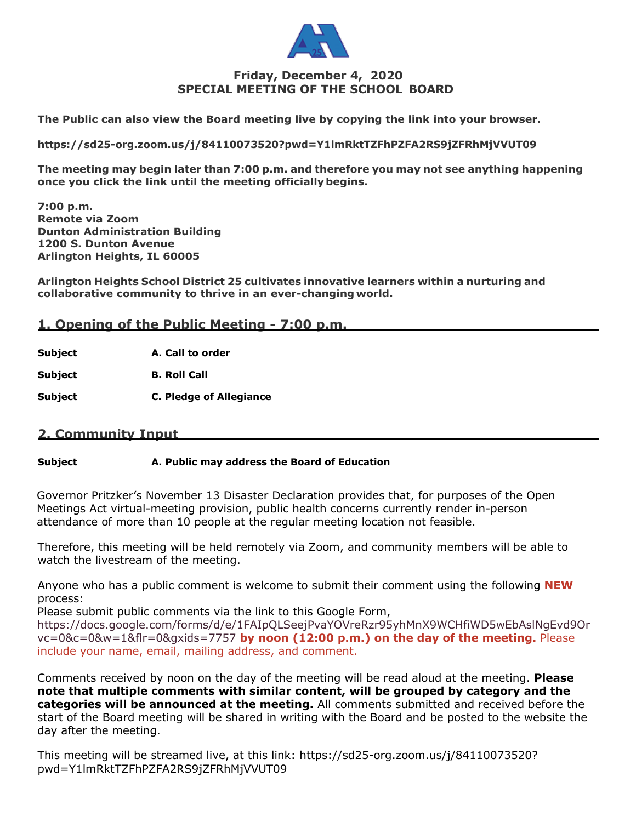

## **Friday, December 4, 2020 SPECIAL MEETING OF THE SCHOOL BOARD**

**The Public can also view the Board meeting live by copying the link into your browser.** 

**https://sd25-org.zoom.us/j/84110073520?pwd=Y1lmRktTZFhPZFA2RS9jZFRhMjVVUT09**

**The meeting may begin later than 7:00 p.m. and therefore you may not see anything happening once you click the link until the meeting officiallybegins.**

**7:00 p.m. Remote via Zoom Dunton Administration Building 1200 S. Dunton Avenue Arlington Heights, IL 60005**

**Arlington Heights School District 25 cultivates innovative learners within a nurturing and collaborative community to thrive in an ever-changing world.**

## **1. Opening of the Public Meeting - 7:00 p.m.**

**Subject A. Call to order**

**Subject B. Roll Call**

**Subject C. Pledge of Allegiance**

### **2. Community Input**

#### **Subject A. Public may address the Board of Education**

Governor Pritzker's November 13 Disaster Declaration provides that, for purposes of the Open Meetings Act virtual-meeting provision, public health concerns currently render in-person attendance of more than 10 people at the regular meeting location not feasible.

Therefore, this meeting will be held remotely via Zoom, and community members will be able to watch the livestream of the meeting.

Anyone who has a public comment is welcome to submit their comment using the following **NEW** process:

Please submit public comments via the link to this Google Form, https://docs.google.com/forms/d/e/1FAIpQLSeejPvaYOVreRzr95yhMnX9WCHfiWD5wEbAslNgEvd9Or vc=0&c=0&w=1&flr=0&gxids=7757 **by noon (12:00 p.m.) on the day of the meeting.** Please include your name, email, mailing address, and comment.

Comments received by noon on the day of the meeting will be read aloud at the meeting. **Please note that multiple comments with similar content, will be grouped by category and the categories will be announced at the meeting.** All comments submitted and received before the start of the Board meeting will be shared in writing with the Board and be posted to the website the day after the meeting.

This meeting will be streamed live, at this link: https://sd25-org.zoom.us/j/84110073520? pwd=Y1lmRktTZFhPZFA2RS9jZFRhMjVVUT09